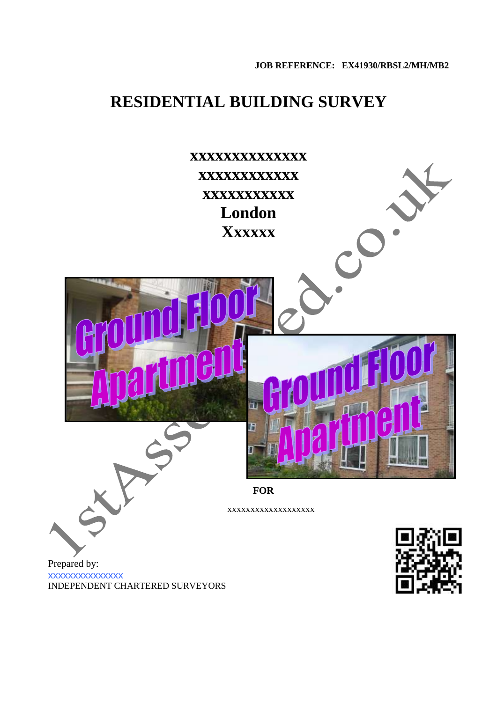# **RESIDENTIAL BUILDING SURVEY**

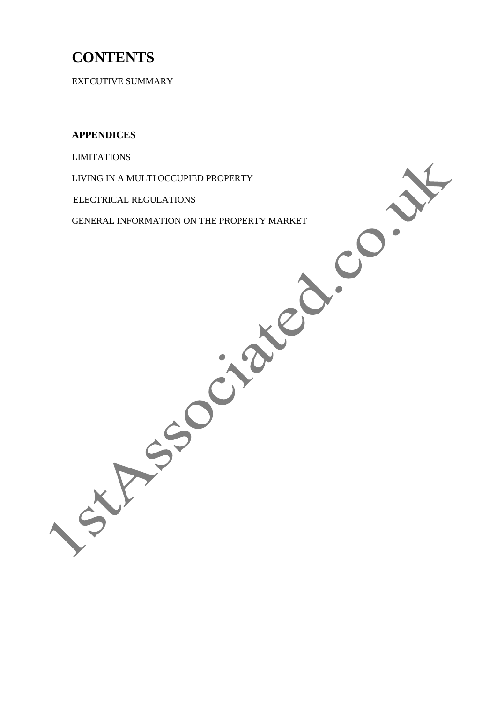# **CONTENTS**

EXECUTIVE SUMMARY

**APPENDICES**

LIMITATIONS

LIVING IN A MULTI OCCUPIED PROPERTY

ELECTRICAL REGULATIONS

GENERAL INFORMATION ON THE PROPERTY MARKET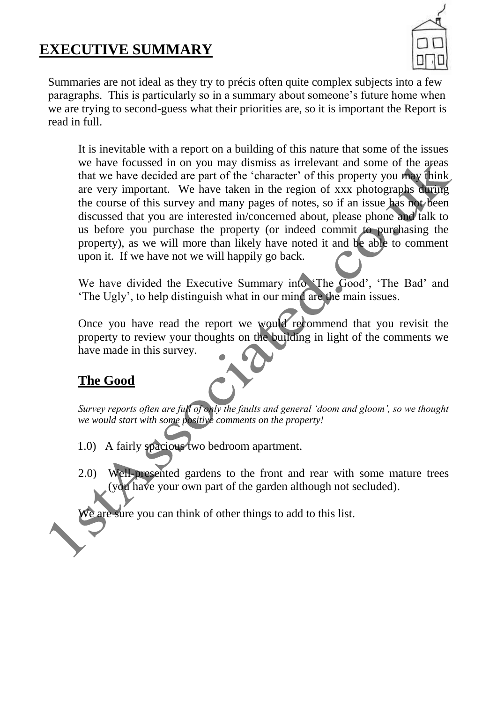# **EXECUTIVE SUMMARY**



Summaries are not ideal as they try to précis often quite complex subjects into a few paragraphs. This is particularly so in a summary about someone's future home when we are trying to second-guess what their priorities are, so it is important the Report is read in full.

It is inevitable with a report on a building of this nature that some of the issues we have focussed in on you may dismiss as irrelevant and some of the areas that we have decided are part of the 'character' of this property you may think are very important. We have taken in the region of xxx photographs during the course of this survey and many pages of notes, so if an issue has not been discussed that you are interested in/concerned about, please phone and talk to us before you purchase the property (or indeed commit to purchasing the property), as we will more than likely have noted it and be able to comment upon it. If we have not we will happily go back.

We have divided the Executive Summary into 'The Good', 'The Bad' and 'The Ugly', to help distinguish what in our mind are the main issues.

Once you have read the report we would recommend that you revisit the property to review your thoughts on the building in light of the comments we have made in this survey.

# **The Good**

*Survey reports often are full of only the faults and general 'doom and gloom', so we thought we would start with some positive comments on the property!*

- 1.0) A fairly spacious two bedroom apartment.
- 2.0) Well-presented gardens to the front and rear with some mature trees (you have your own part of the garden although not secluded).

are sure you can think of other things to add to this list.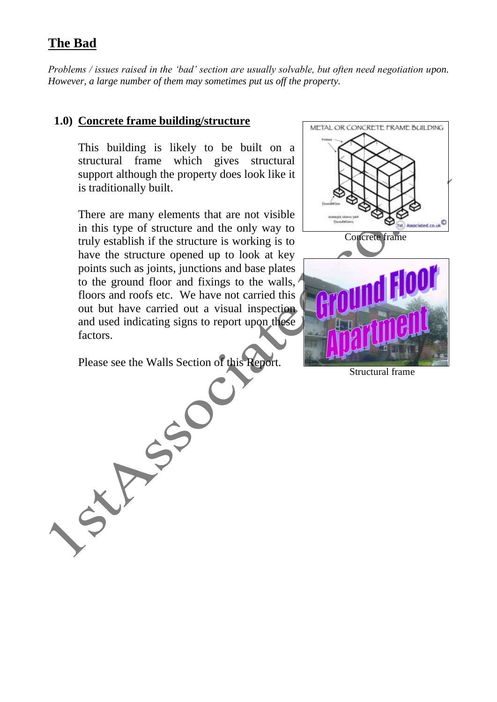## **The Bad**

*Problems / issues raised in the 'bad' section are usually solvable, but often need negotiation upon. However, a large number of them may sometimes put us off the property.* 

#### **1.0) Concrete frame building/structure**

This building is likely to be built on a structural frame which gives structural support although the property does look like it is traditionally built.

There are many elements that are not visible in this type of structure and the only way to truly establish if the structure is working is to have the structure opened up to look at key points such as joints, junctions and base plates to the ground floor and fixings to the walls, floors and roofs etc. We have not carried this out but have carried out a visual inspection and used indicating signs to report upon these factors.

Please see the Walls Section of this Report.

CXF SSO



Structural frame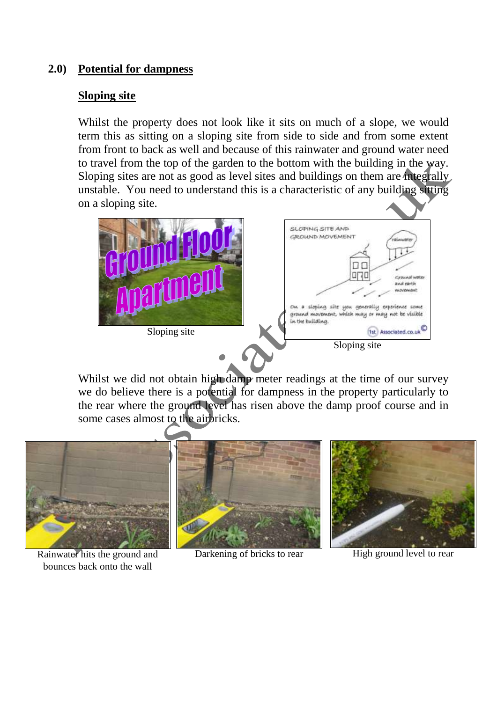## **2.0) Potential for dampness**

#### **Sloping site**

bounces back onto the wall

Whilst the property does not look like it sits on much of a slope, we would term this as sitting on a sloping site from side to side and from some extent from front to back as well and because of this rainwater and ground water need to travel from the top of the garden to the bottom with the building in the way. Sloping sites are not as good as level sites and buildings on them are integrally unstable. You need to understand this is a characteristic of any building sitting on a sloping site.



Whilst we did not obtain high damp meter readings at the time of our survey we do believe there is a potential for dampness in the property particularly to the rear where the ground level has risen above the damp proof course and in some cases almost to the airbricks.

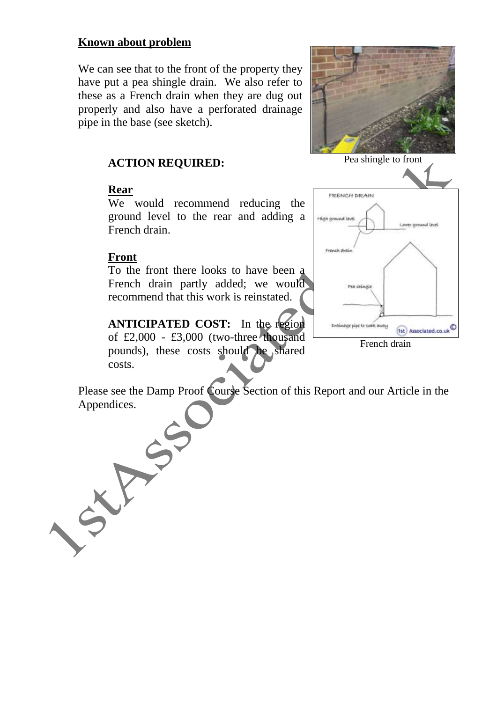## **Known about problem**

We can see that to the front of the property they have put a pea shingle drain. We also refer to these as a French drain when they are dug out properly and also have a perforated drainage pipe in the base (see sketch).

## **ACTION REQUIRED:**

#### **Rear**

We would recommend reducing the ground level to the rear and adding a French drain.

#### **Front**

To the front there looks to have been a French drain partly added; we would recommend that this work is reinstated.

**ANTICIPATED COST:** In the region of  $£2,000 - £3,000$  (two-three thousand pounds), these costs should be shared costs.

Please see the Damp Proof Course Section of this Report and our Article in the Appendices.





French drain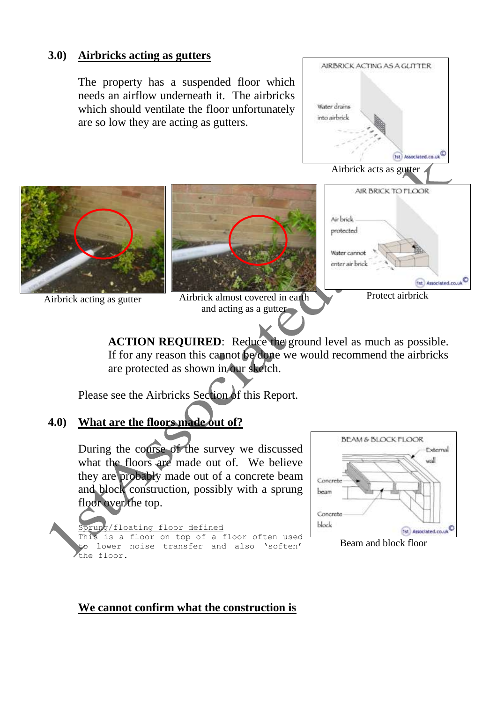#### **3.0) Airbricks acting as gutters**

The property has a suspended floor which needs an airflow underneath it. The airbricks which should ventilate the floor unfortunately are so low they are acting as gutters.





and acting as a gutter



**ACTION REQUIRED:** Reduce the ground level as much as possible. If for any reason this cannot be done we would recommend the airbricks are protected as shown in our sketch.

Please see the Airbricks Section of this Report.

## **4.0) What are the floors made out of?**

During the course of the survey we discussed what the floors are made out of. We believe they are probably made out of a concrete beam and block construction, possibly with a sprung floor over the top.

floating floor defined

This is a floor on top of a floor often used to lower noise transfer and also 'soften' the floor.



Beam and block floor

## **We cannot confirm what the construction is**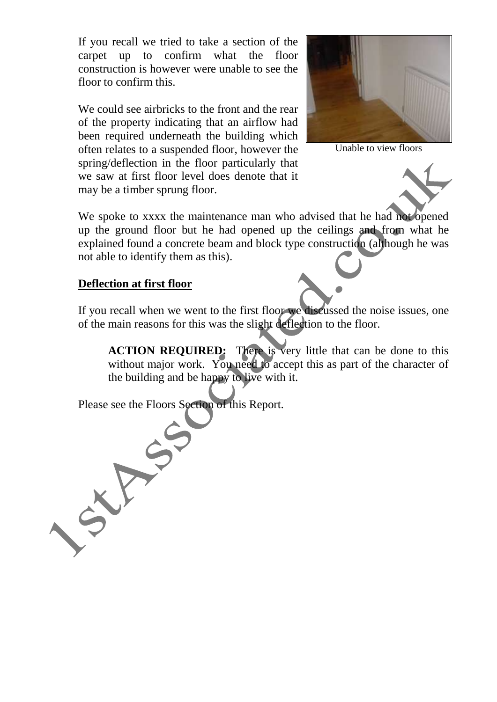If you recall we tried to take a section of the carpet up to confirm what the floor construction is however were unable to see the floor to confirm this.

We could see airbricks to the front and the rear of the property indicating that an airflow had been required underneath the building which often relates to a suspended floor, however the spring/deflection in the floor particularly that we saw at first floor level does denote that it may be a timber sprung floor.



Unable to view floors



#### **Deflection at first floor**

If you recall when we went to the first floor we discussed the noise issues, one of the main reasons for this was the slight deflection to the floor.

**ACTION REQUIRED:** There is very little that can be done to this without major work. You need to accept this as part of the character of the building and be happy to live with it.

Please see the Floors Section of this Report.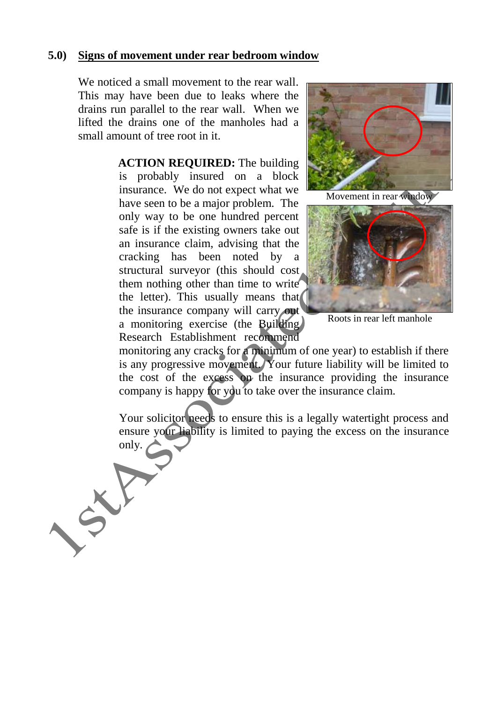#### **5.0) Signs of movement under rear bedroom window**

We noticed a small movement to the rear wall. This may have been due to leaks where the drains run parallel to the rear wall. When we lifted the drains one of the manholes had a small amount of tree root in it.

> **ACTION REQUIRED:** The building is probably insured on a block insurance. We do not expect what we have seen to be a major problem. The only way to be one hundred percent safe is if the existing owners take out an insurance claim, advising that the cracking has been noted by a structural surveyor (this should cost them nothing other than time to write the letter). This usually means that the insurance company will carry out a monitoring exercise (the Building) Research Establishment recommend



Movement in rear window



Roots in rear left manhole

monitoring any cracks for a minimum of one year) to establish if there is any progressive movement. Your future liability will be limited to the cost of the excess on the insurance providing the insurance company is happy for you to take over the insurance claim.

Your solicitor needs to ensure this is a legally watertight process and ensure your liability is limited to paying the excess on the insurance only.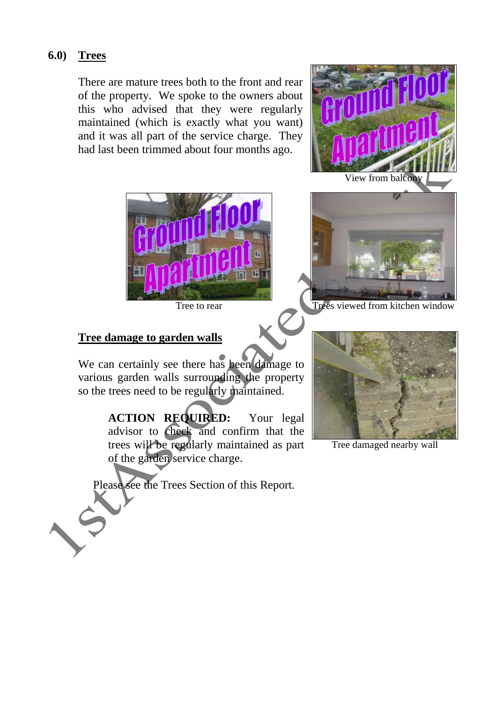## **6.0) Trees**

There are mature trees both to the front and rear of the property. We spoke to the owners about this who advised that they were regularly maintained (which is exactly what you want) and it was all part of the service charge. They had last been trimmed about four months ago.



#### **Tree damage to garden walls**

We can certainly see there has been damage to various garden walls surrounding the property so the trees need to be regularly maintained.

> **ACTION REQUIRED:** Your legal advisor to check and confirm that the trees will be regularly maintained as part of the garden service charge.

Please see the Trees Section of this Report.



Tree damaged nearby wall



Tree to rear Trees viewed from kitchen window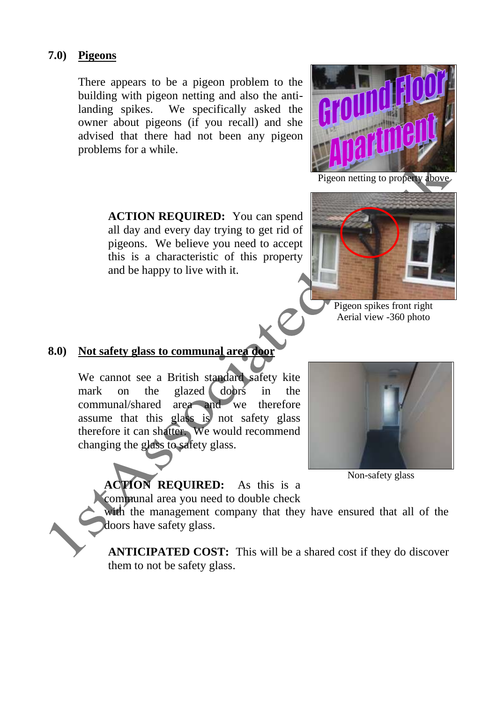#### **7.0) Pigeons**

There appears to be a pigeon problem to the building with pigeon netting and also the antilanding spikes. We specifically asked the owner about pigeons (if you recall) and she advised that there had not been any pigeon problems for a while.



Pigeon netting to property above

**ACTION REQUIRED:** You can spend all day and every day trying to get rid of pigeons. We believe you need to accept this is a characteristic of this property and be happy to live with it.



Pigeon spikes front right Aerial view -360 photo

## **8.0) Not safety glass to communal area door**

We cannot see a British standard safety kite mark on the glazed doors in the communal/shared area and we therefore assume that this glass is not safety glass therefore it can shatter. We would recommend changing the glass to safety glass.



Non-safety glass

**ACTION REQUIRED:** As this is a communal area you need to double check

with the management company that they have ensured that all of the doors have safety glass.

**ANTICIPATED COST:** This will be a shared cost if they do discover them to not be safety glass.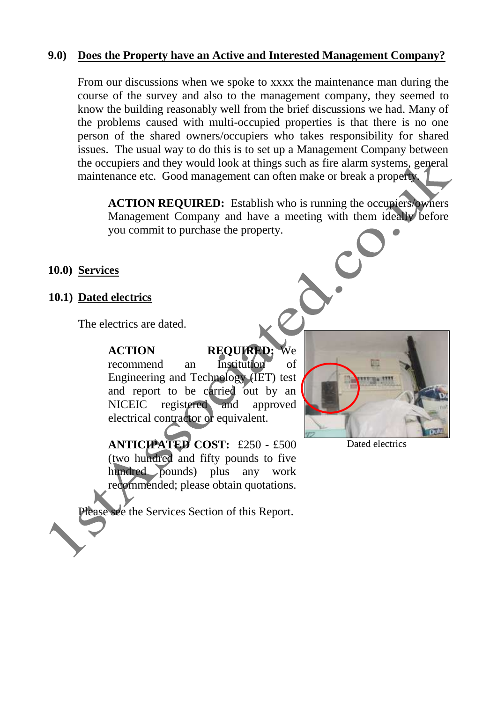#### **9.0) Does the Property have an Active and Interested Management Company?**

From our discussions when we spoke to xxxx the maintenance man during the course of the survey and also to the management company, they seemed to know the building reasonably well from the brief discussions we had. Many of the problems caused with multi-occupied properties is that there is no one person of the shared owners/occupiers who takes responsibility for shared issues. The usual way to do this is to set up a Management Company between the occupiers and they would look at things such as fire alarm systems, general maintenance etc. Good management can often make or break a property.

**ACTION REQUIRED:** Establish who is running the occupiers/owners Management Company and have a meeting with them ideally before you commit to purchase the property.

#### **10.0) Services**

#### **10.1) Dated electrics**

The electrics are dated.

**ACTION REQUIRED:** We recommend an Institution of Engineering and Technology (IET) test and report to be carried out by an NICEIC registered and approved electrical contractor or equivalent.

**ANTICIPATED COST:** £250 - £500 (two hundred and fifty pounds to five hundred pounds) plus any work recommended; please obtain quotations.

lease see the Services Section of this Report.



Dated electrics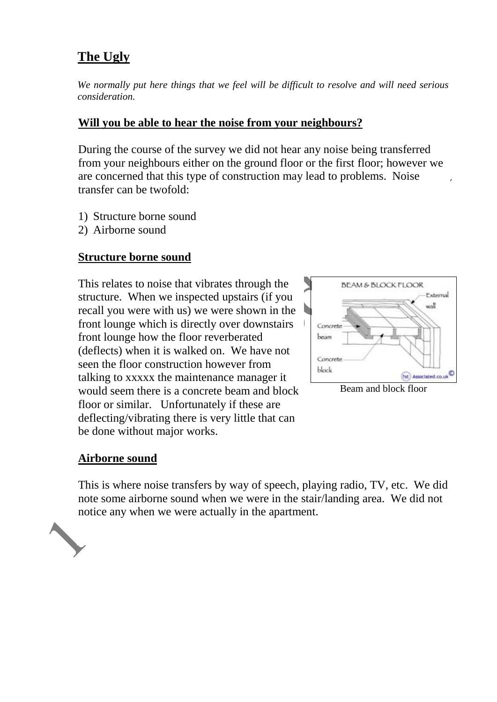# **The Ugly**

*We normally put here things that we feel will be difficult to resolve and will need serious consideration.*

## **Will you be able to hear the noise from your neighbours?**

During the course of the survey we did not hear any noise being transferred from your neighbours either on the ground floor or the first floor; however we are concerned that this type of construction may lead to problems. Noise transfer can be twofold:

- 1) Structure borne sound
- 2) Airborne sound

## **Structure borne sound**

This relates to noise that vibrates through the structure. When we inspected upstairs (if you recall you were with us) we were shown in the front lounge which is directly over downstairs front lounge how the floor reverberated (deflects) when it is walked on. We have not seen the floor construction however from talking to xxxxx the maintenance manager it would seem there is a concrete beam and block floor or similar. Unfortunately if these are deflecting/vibrating there is very little that can be done without major works.



Beam and block floor

#### **Airborne sound**

This is where noise transfers by way of speech, playing radio, TV, etc. We did note some airborne sound when we were in the stair/landing area. We did not notice any when we were actually in the apartment.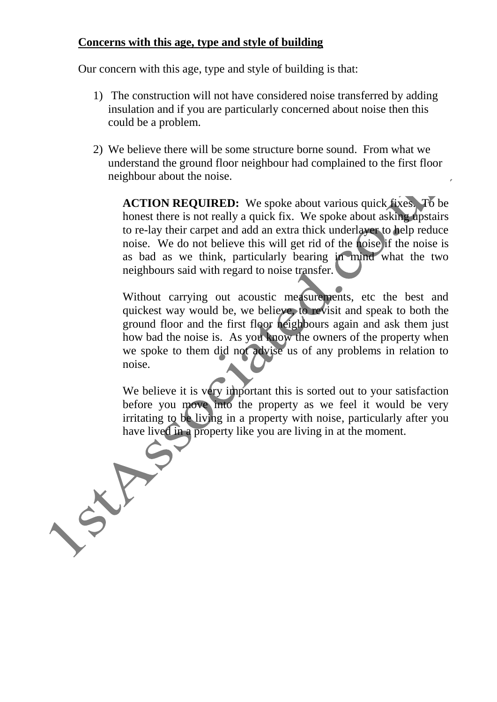## **Concerns with this age, type and style of building**

Our concern with this age, type and style of building is that:

- 1) The construction will not have considered noise transferred by adding insulation and if you are particularly concerned about noise then this could be a problem.
- 2) We believe there will be some structure borne sound. From what we understand the ground floor neighbour had complained to the first floor neighbour about the noise.

**ACTION REQUIRED:** We spoke about various quick fixes. To be honest there is not really a quick fix. We spoke about asking upstairs to re-lay their carpet and add an extra thick underlayer to help reduce noise. We do not believe this will get rid of the noise if the noise is as bad as we think, particularly bearing in mind what the two neighbours said with regard to noise transfer.

Without carrying out acoustic measurements, etc the best and quickest way would be, we believe, to revisit and speak to both the ground floor and the first floor neighbours again and ask them just how bad the noise is. As you know the owners of the property when we spoke to them did not advise us of any problems in relation to noise.

We believe it is very important this is sorted out to your satisfaction before you move into the property as we feel it would be very irritating to be living in a property with noise, particularly after you have lived in a property like you are living in at the moment.

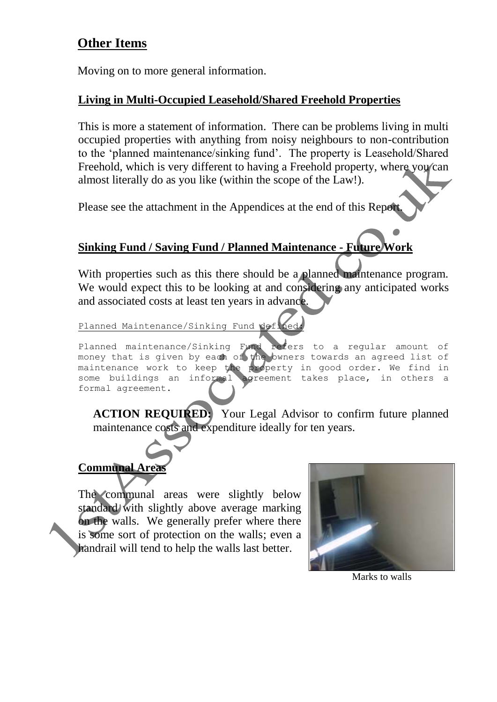# **Other Items**

Moving on to more general information.

## **Living in Multi-Occupied Leasehold/Shared Freehold Properties**

This is more a statement of information. There can be problems living in multi occupied properties with anything from noisy neighbours to non-contribution to the 'planned maintenance/sinking fund'. The property is Leasehold/Shared Freehold, which is very different to having a Freehold property, where you can almost literally do as you like (within the scope of the Law!).

Please see the attachment in the Appendices at the end of this Report.

## **Sinking Fund / Saving Fund / Planned Maintenance - Future Work**

With properties such as this there should be a planned maintenance program. We would expect this to be looking at and considering any anticipated works and associated costs at least ten years in advance.

Planned Maintenance/Sinking Fund defi

Planned maintenance/Sinking Fund refers to a regular amount of money that is given by each of the owners towards an agreed list of maintenance work to keep the property in good order. We find in some buildings an informal agreement takes place, in others a formal agreement.

**ACTION REQUIRED:** Your Legal Advisor to confirm future planned maintenance costs and expenditure ideally for ten years.

# **Communal Area**

The communal areas were slightly below standard with slightly above average marking on the walls. We generally prefer where there is some sort of protection on the walls; even a handrail will tend to help the walls last better.



Marks to walls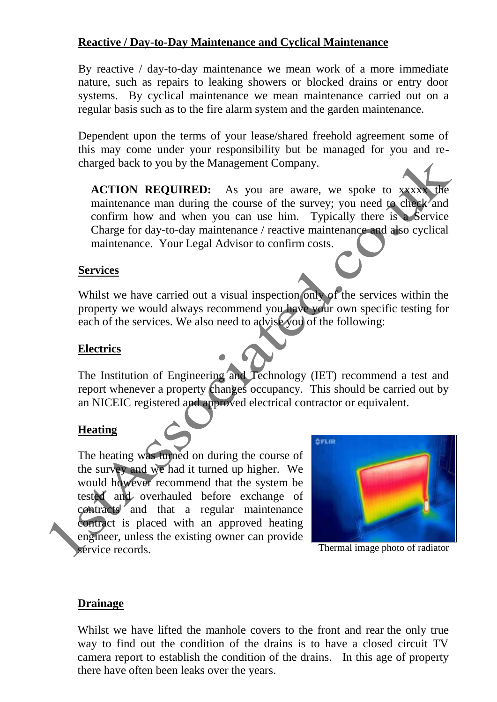## **Reactive / Day-to-Day Maintenance and Cyclical Maintenance**

By reactive / day-to-day maintenance we mean work of a more immediate nature, such as repairs to leaking showers or blocked drains or entry door systems. By cyclical maintenance we mean maintenance carried out on a regular basis such as to the fire alarm system and the garden maintenance.

Dependent upon the terms of your lease/shared freehold agreement some of this may come under your responsibility but be managed for you and recharged back to you by the Management Company.

**ACTION REQUIRED:** As you are aware, we spoke to xxxxx the maintenance man during the course of the survey; you need to check and confirm how and when you can use him. Typically there is a Service Charge for day-to-day maintenance / reactive maintenance and also cyclical maintenance. Your Legal Advisor to confirm costs.

#### **Services**

Whilst we have carried out a visual inspection only of the services within the property we would always recommend you have your own specific testing for each of the services. We also need to advise you of the following:

#### **Electrics**

The Institution of Engineering and Technology (IET) recommend a test and report whenever a property changes occupancy. This should be carried out by an NICEIC registered and approved electrical contractor or equivalent.

## **Heating**

The heating was turned on during the course of the survey and we had it turned up higher. We would however recommend that the system be tested and overhauled before exchange of contracts and that a regular maintenance contract is placed with an approved heating engineer, unless the existing owner can provide service records.



Thermal image photo of radiator

#### **Drainage**

Whilst we have lifted the manhole covers to the front and rear the only true way to find out the condition of the drains is to have a closed circuit TV camera report to establish the condition of the drains. In this age of property there have often been leaks over the years.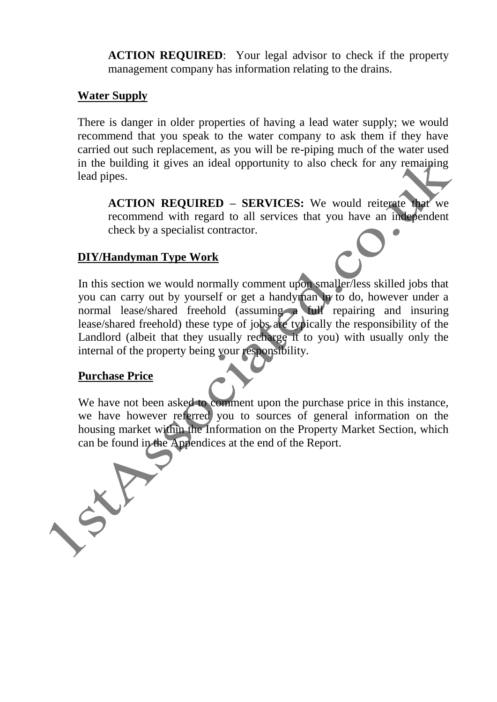**ACTION REQUIRED**: Your legal advisor to check if the property management company has information relating to the drains.

#### **Water Supply**

There is danger in older properties of having a lead water supply; we would recommend that you speak to the water company to ask them if they have carried out such replacement, as you will be re-piping much of the water used in the building it gives an ideal opportunity to also check for any remaining lead pipes.

**ACTION REQUIRED – SERVICES:** We would reiterate that we recommend with regard to all services that you have an independent check by a specialist contractor.

## **DIY/Handyman Type Work**

In this section we would normally comment upon smaller/less skilled jobs that you can carry out by yourself or get a handyman in to do, however under a normal lease/shared freehold (assuming a full repairing and insuring lease/shared freehold) these type of jobs are typically the responsibility of the Landlord (albeit that they usually recharge it to you) with usually only the internal of the property being your responsibility.

#### **Purchase Price**

We have not been asked to comment upon the purchase price in this instance, we have however referred you to sources of general information on the housing market within the Information on the Property Market Section, which can be found in the Appendices at the end of the Report.

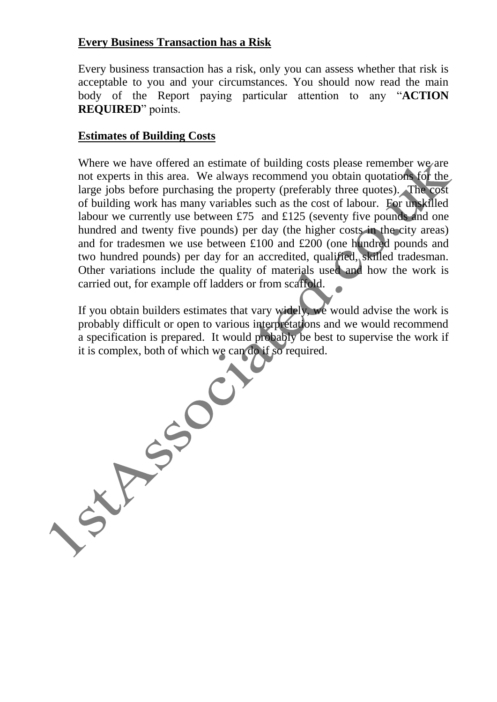## **Every Business Transaction has a Risk**

Every business transaction has a risk, only you can assess whether that risk is acceptable to you and your circumstances. You should now read the main body of the Report paying particular attention to any "**ACTION REQUIRED**" points.

## **Estimates of Building Costs**

Where we have offered an estimate of building costs please remember we are not experts in this area. We always recommend you obtain quotations for the large jobs before purchasing the property (preferably three quotes). The cost of building work has many variables such as the cost of labour. For unskilled labour we currently use between £75 and £125 (seventy five pounds and one hundred and twenty five pounds) per day (the higher costs in the city areas) and for tradesmen we use between £100 and £200 (one hundred pounds and two hundred pounds) per day for an accredited, qualified, skilled tradesman. Other variations include the quality of materials used and how the work is carried out, for example off ladders or from scaffold.

If you obtain builders estimates that vary widely, we would advise the work is probably difficult or open to various interpretations and we would recommend it is complex, both of which we can do if so required.

a specification is prepared. It would probably be best to supervise the work if<br>it is complex, both of which we can do if so required.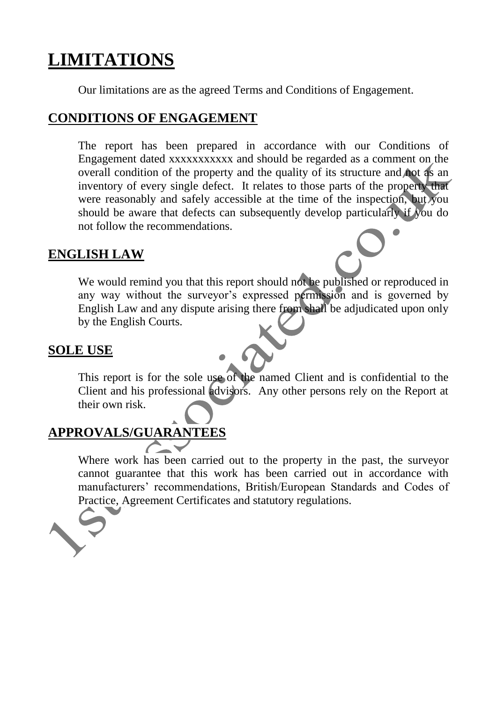# **LIMITATIONS**

Our limitations are as the agreed Terms and Conditions of Engagement.

## **CONDITIONS OF ENGAGEMENT**

The report has been prepared in accordance with our Conditions of Engagement dated xxxxxxxxxxx and should be regarded as a comment on the overall condition of the property and the quality of its structure and not as an inventory of every single defect. It relates to those parts of the property that were reasonably and safely accessible at the time of the inspection, but you should be aware that defects can subsequently develop particularly if you do not follow the recommendations.

## **ENGLISH LAW**

We would remind you that this report should not be published or reproduced in any way without the surveyor's expressed permission and is governed by English Law and any dispute arising there from shall be adjudicated upon only by the English Courts.

## **SOLE USE**

This report is for the sole use of the named Client and is confidential to the Client and his professional advisors. Any other persons rely on the Report at their own risk.

## **APPROVALS/GUARANTEES**

Where work has been carried out to the property in the past, the surveyor cannot guarantee that this work has been carried out in accordance with manufacturers' recommendations, British/European Standards and Codes of Practice, Agreement Certificates and statutory regulations.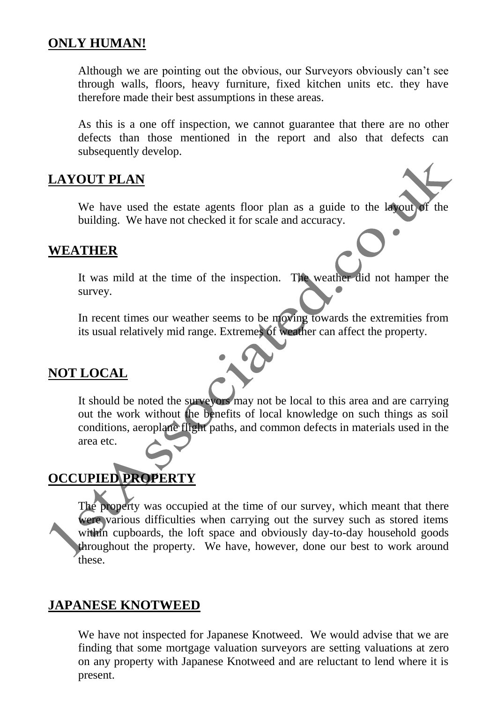## **ONLY HUMAN!**

Although we are pointing out the obvious, our Surveyors obviously can't see through walls, floors, heavy furniture, fixed kitchen units etc. they have therefore made their best assumptions in these areas.

As this is a one off inspection, we cannot guarantee that there are no other defects than those mentioned in the report and also that defects can subsequently develop.

## **LAYOUT PLAN**

We have used the estate agents floor plan as a guide to the layout of the building. We have not checked it for scale and accuracy.

## **WEATHER**

It was mild at the time of the inspection. The weather did not hamper the survey.

In recent times our weather seems to be moving towards the extremities from its usual relatively mid range. Extremes of weather can affect the property.

## **NOT LOCAL**

It should be noted the surveyors may not be local to this area and are carrying out the work without the benefits of local knowledge on such things as soil conditions, aeroplane flight paths, and common defects in materials used in the area etc.

# **OCCUPIED PROPERTY**

The property was occupied at the time of our survey, which meant that there were various difficulties when carrying out the survey such as stored items within cupboards, the loft space and obviously day-to-day household goods throughout the property. We have, however, done our best to work around these.

## **JAPANESE KNOTWEED**

We have not inspected for Japanese Knotweed. We would advise that we are finding that some mortgage valuation surveyors are setting valuations at zero on any property with Japanese Knotweed and are reluctant to lend where it is present.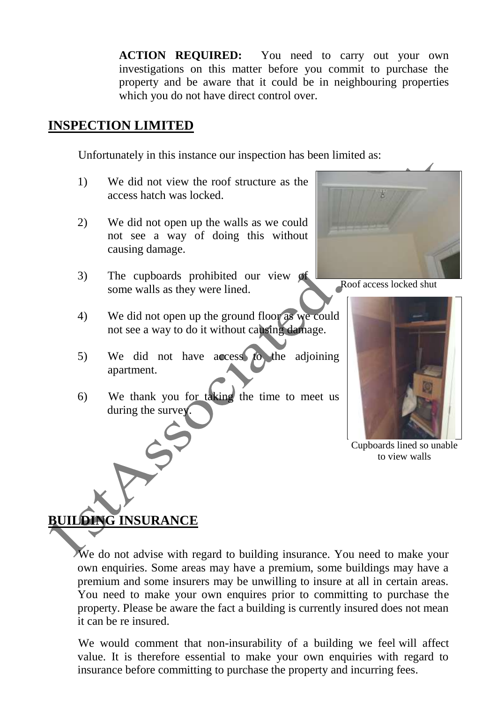**ACTION REQUIRED:** You need to carry out your own investigations on this matter before you commit to purchase the property and be aware that it could be in neighbouring properties which you do not have direct control over.

## **INSPECTION LIMITED**

Unfortunately in this instance our inspection has been limited as:

- 1) We did not view the roof structure as the access hatch was locked.
- 2) We did not open up the walls as we could not see a way of doing this without causing damage.
- 3) The cupboards prohibited our view of some walls as they were lined.
- 4) We did not open up the ground floor as we could not see a way to do it without causing damage.
- 5) We did not have access to the adjoining apartment.
- 6) We thank you for taking the time to meet us during the survey.



Roof access locked shut



Cupboards lined so unable to view walls

## **BUILDING INSURANCE**

We do not advise with regard to building insurance. You need to make your own enquiries. Some areas may have a premium, some buildings may have a premium and some insurers may be unwilling to insure at all in certain areas. You need to make your own enquires prior to committing to purchase the property. Please be aware the fact a building is currently insured does not mean it can be re insured.

We would comment that non-insurability of a building we feel will affect value. It is therefore essential to make your own enquiries with regard to insurance before committing to purchase the property and incurring fees.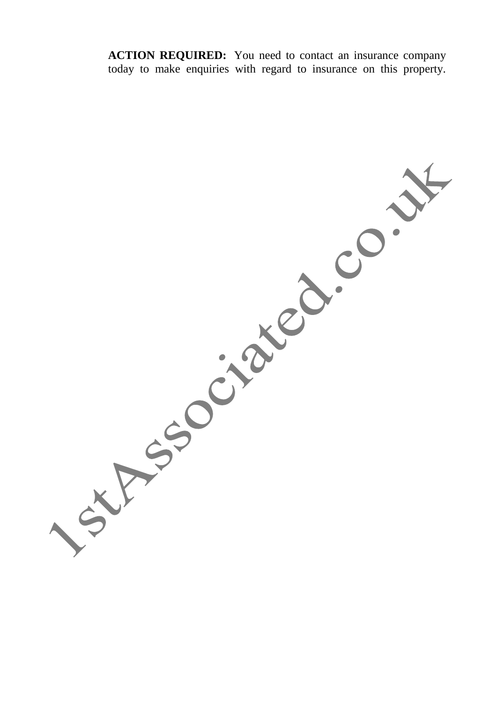**ACTION REQUIRED:** You need to contact an insurance company today to make enquiries with regard to insurance on this property.

**XASSOCIATED.CO.**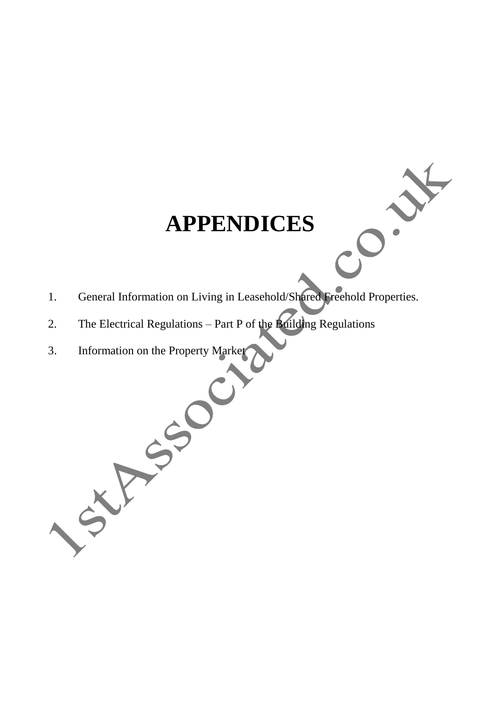# **APPENDICES**

- 1. General Information on Living in Leasehold/Shared Freehold Properties.
- 2. The Electrical Regulations Part P of the Building Regulations
- 3. Information on the Property Market

SXF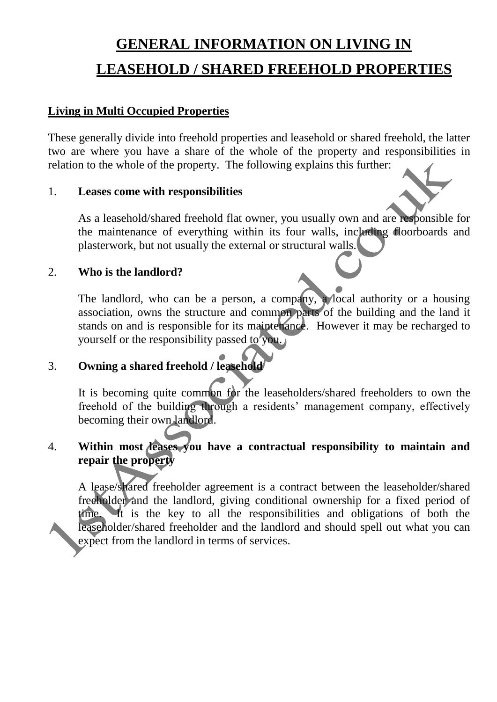# **GENERAL INFORMATION ON LIVING IN LEASEHOLD / SHARED FREEHOLD PROPERTIES**

## **Living in Multi Occupied Properties**

These generally divide into freehold properties and leasehold or shared freehold, the latter two are where you have a share of the whole of the property and responsibilities in relation to the whole of the property. The following explains this further:

#### 1. **Leases come with responsibilities**

As a leasehold/shared freehold flat owner, you usually own and are responsible for the maintenance of everything within its four walls, including floorboards and plasterwork, but not usually the external or structural walls.

## 2. **Who is the landlord?**

The landlord, who can be a person, a company, a local authority or a housing association, owns the structure and common parts of the building and the land it stands on and is responsible for its maintenance. However it may be recharged to yourself or the responsibility passed to you.

## 3. **Owning a shared freehold / leasehold**

It is becoming quite common for the leaseholders/shared freeholders to own the freehold of the building through a residents' management company, effectively becoming their own landlord.

## 4. **Within most leases you have a contractual responsibility to maintain and repair the property**

A lease/shared freeholder agreement is a contract between the leaseholder/shared freeholder and the landlord, giving conditional ownership for a fixed period of time. It is the key to all the responsibilities and obligations of both the leaseholder/shared freeholder and the landlord and should spell out what you can expect from the landlord in terms of services.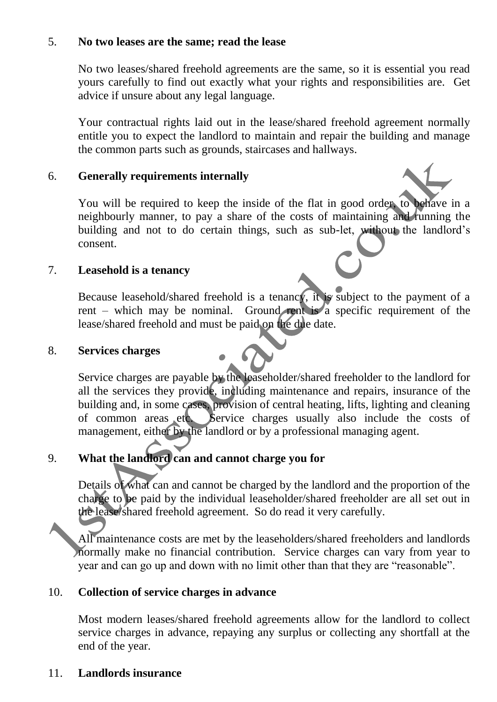## 5. **No two leases are the same; read the lease**

No two leases/shared freehold agreements are the same, so it is essential you read yours carefully to find out exactly what your rights and responsibilities are. Get advice if unsure about any legal language.

Your contractual rights laid out in the lease/shared freehold agreement normally entitle you to expect the landlord to maintain and repair the building and manage the common parts such as grounds, staircases and hallways.

## 6. **Generally requirements internally**

You will be required to keep the inside of the flat in good order, to behave in a neighbourly manner, to pay a share of the costs of maintaining and running the building and not to do certain things, such as sub-let, without the landlord's consent.

## 7. **Leasehold is a tenancy**

Because leasehold/shared freehold is a tenancy, it is subject to the payment of a rent – which may be nominal. Ground rent is a specific requirement of the lease/shared freehold and must be paid on the due date.

## 8. **Services charges**

Service charges are payable by the leaseholder/shared freeholder to the landlord for all the services they provide, including maintenance and repairs, insurance of the building and, in some cases, provision of central heating, lifts, lighting and cleaning of common areas etc. Service charges usually also include the costs of management, either by the landlord or by a professional managing agent.

## 9. **What the landlord can and cannot charge you for**

Details of what can and cannot be charged by the landlord and the proportion of the charge to be paid by the individual leaseholder/shared freeholder are all set out in the lease/shared freehold agreement. So do read it very carefully.

All maintenance costs are met by the leaseholders/shared freeholders and landlords normally make no financial contribution. Service charges can vary from year to year and can go up and down with no limit other than that they are "reasonable".

## 10. **Collection of service charges in advance**

Most modern leases/shared freehold agreements allow for the landlord to collect service charges in advance, repaying any surplus or collecting any shortfall at the end of the year.

## 11. **Landlords insurance**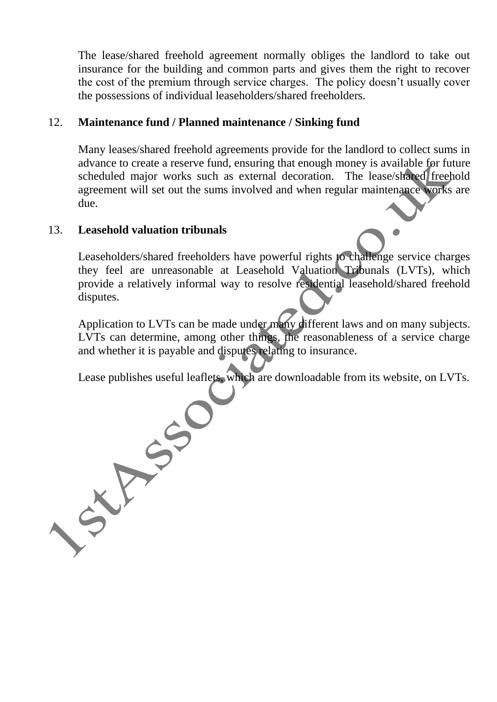The lease/shared freehold agreement normally obliges the landlord to take out insurance for the building and common parts and gives them the right to recover the cost of the premium through service charges. The policy doesn't usually cover the possessions of individual leaseholders/shared freeholders.

## 12. **Maintenance fund / Planned maintenance / Sinking fund**

Many leases/shared freehold agreements provide for the landlord to collect sums in advance to create a reserve fund, ensuring that enough money is available for future scheduled major works such as external decoration. The lease/shared freehold agreement will set out the sums involved and when regular maintenance works are due.

## 13. **Leasehold valuation tribunals**

Leaseholders/shared freeholders have powerful rights to challenge service charges they feel are unreasonable at Leasehold Valuation Tribunals (LVTs), which provide a relatively informal way to resolve residential leasehold/shared freehold disputes.

Application to LVTs can be made under many different laws and on many subjects. LVTs can determine, among other things, the reasonableness of a service charge and whether it is payable and disputes relating to insurance.

Lease publishes useful leaflets, which are downloadable from its website, on LVTs.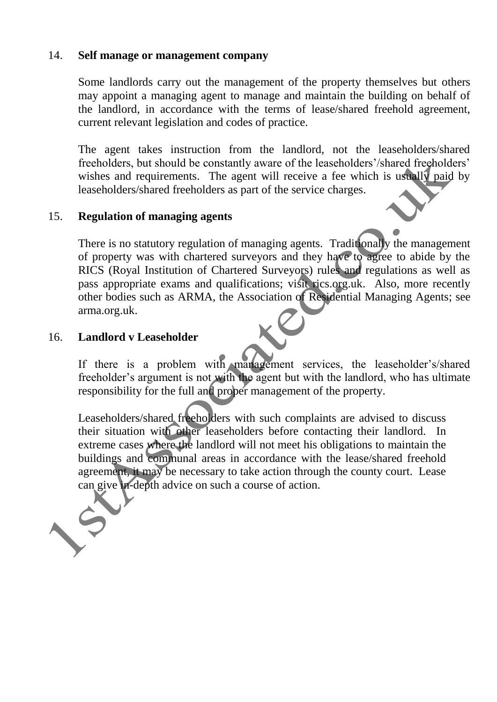#### 14. **Self manage or management company**

Some landlords carry out the management of the property themselves but others may appoint a managing agent to manage and maintain the building on behalf of the landlord, in accordance with the terms of lease/shared freehold agreement, current relevant legislation and codes of practice.

The agent takes instruction from the landlord, not the leaseholders/shared freeholders, but should be constantly aware of the leaseholders'/shared freeholders' wishes and requirements. The agent will receive a fee which is usually paid by leaseholders/shared freeholders as part of the service charges.

## 15. **Regulation of managing agents**

There is no statutory regulation of managing agents. Traditionally the management of property was with chartered surveyors and they have to agree to abide by the RICS (Royal Institution of Chartered Surveyors) rules and regulations as well as pass appropriate exams and qualifications; visit rics.org.uk. Also, more recently other bodies such as ARMA, the Association of Residential Managing Agents; see arma.org.uk.

## 16. **Landlord v Leaseholder**

If there is a problem with management services, the leaseholder's/shared freeholder's argument is not with the agent but with the landlord, who has ultimate responsibility for the full and proper management of the property.

Leaseholders/shared freeholders with such complaints are advised to discuss their situation with other leaseholders before contacting their landlord. In extreme cases where the landlord will not meet his obligations to maintain the buildings and communal areas in accordance with the lease/shared freehold agreement, it may be necessary to take action through the county court. Lease can give in-depth advice on such a course of action.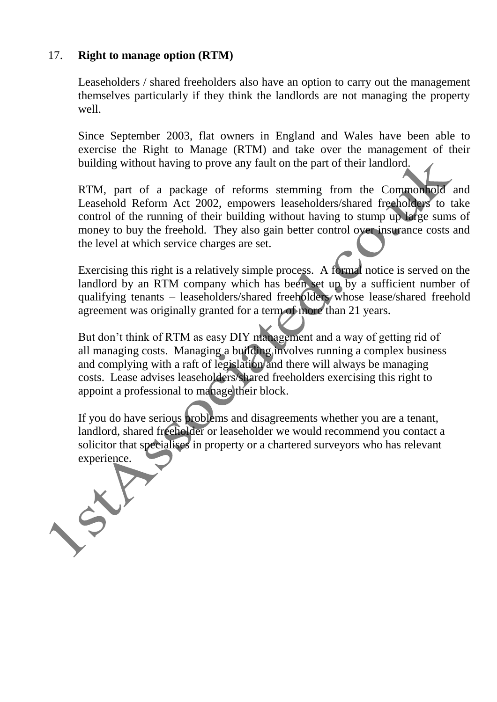## 17. **Right to manage option (RTM)**

CR

Leaseholders / shared freeholders also have an option to carry out the management themselves particularly if they think the landlords are not managing the property well.

Since September 2003, flat owners in England and Wales have been able to exercise the Right to Manage (RTM) and take over the management of their building without having to prove any fault on the part of their landlord.

RTM, part of a package of reforms stemming from the Commonhold and Leasehold Reform Act 2002, empowers leaseholders/shared freeholders to take control of the running of their building without having to stump up large sums of money to buy the freehold. They also gain better control over insurance costs and the level at which service charges are set.

Exercising this right is a relatively simple process. A formal notice is served on the landlord by an RTM company which has been set up by a sufficient number of qualifying tenants – leaseholders/shared freeholders whose lease/shared freehold agreement was originally granted for a term of more than 21 years.

But don't think of RTM as easy DIY management and a way of getting rid of all managing costs. Managing a building involves running a complex business and complying with a raft of legislation and there will always be managing costs. Lease advises leaseholders/shared freeholders exercising this right to appoint a professional to manage their block.

If you do have serious problems and disagreements whether you are a tenant, landlord, shared freeholder or leaseholder we would recommend you contact a solicitor that specialises in property or a chartered surveyors who has relevant experience.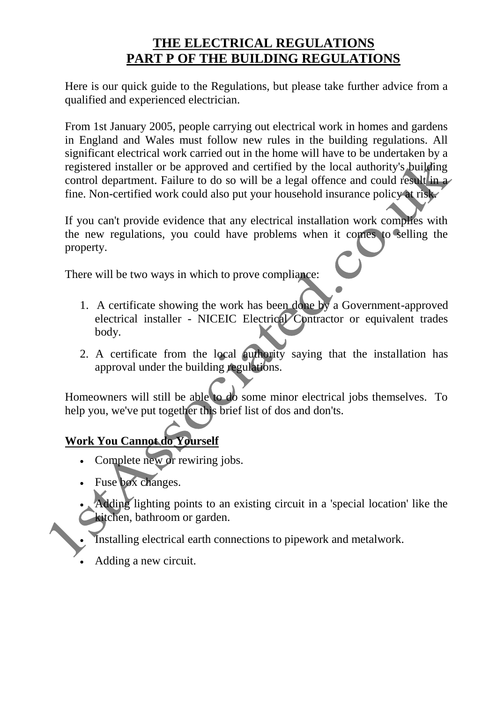# **THE ELECTRICAL REGULATIONS PART P OF THE BUILDING REGULATIONS**

Here is our quick guide to the Regulations, but please take further advice from a qualified and experienced electrician.

From 1st January 2005, people carrying out electrical work in homes and gardens in England and Wales must follow new rules in the building regulations. All significant electrical work carried out in the home will have to be undertaken by a registered installer or be approved and certified by the local authority's building control department. Failure to do so will be a legal offence and could result in a fine. Non-certified work could also put your household insurance policy at risk.

If you can't provide evidence that any electrical installation work complies with the new regulations, you could have problems when it comes to selling the property.

There will be two ways in which to prove compliance:

- 1. A certificate showing the work has been done by a Government-approved electrical installer - NICEIC Electrical Contractor or equivalent trades body.
- 2. A certificate from the local authority saying that the installation has approval under the building regulations.

Homeowners will still be able to do some minor electrical jobs themselves. To help you, we've put together this brief list of dos and don'ts.

# **Work You Cannot do Yourself**

- Complete new or rewiring jobs.
- Fuse box changes.
- Adding lighting points to an existing circuit in a 'special location' like the kitchen, bathroom or garden.
- Installing electrical earth connections to pipework and metalwork.
- Adding a new circuit.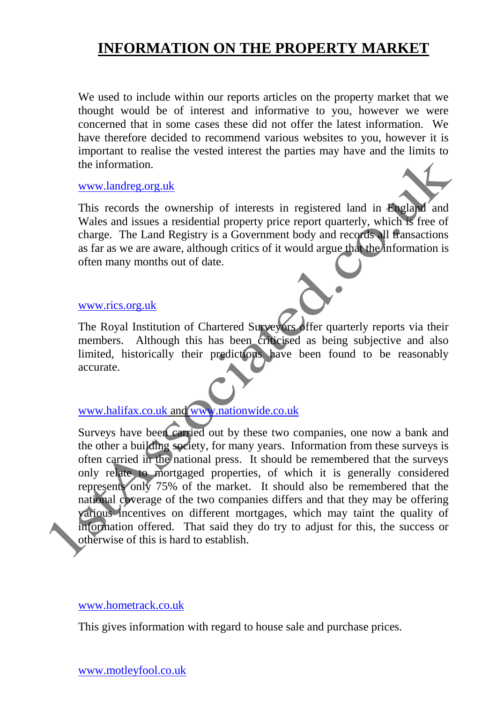# **INFORMATION ON THE PROPERTY MARKET**

We used to include within our reports articles on the property market that we thought would be of interest and informative to you, however we were concerned that in some cases these did not offer the latest information. We have therefore decided to recommend various websites to you, however it is important to realise the vested interest the parties may have and the limits to the information.

#### [www.landreg.org.uk](http://www.landreg.org.uk/)

This records the ownership of interests in registered land in England and Wales and issues a residential property price report quarterly, which is free of charge. The Land Registry is a Government body and records all transactions as far as we are aware, although critics of it would argue that the information is often many months out of date.

#### [www.rics.org.uk](http://www.rics.org.uk/)

The Royal Institution of Chartered Surveyors offer quarterly reports via their members. Although this has been criticised as being subjective and also limited, historically their predictions have been found to be reasonably accurate.

## [www.halifax.co.uk](http://www.halifax.co.uk/) and [www.nationwide.co.uk](http://www.nationwide.co.uk/)

Surveys have been carried out by these two companies, one now a bank and the other a building society, for many years. Information from these surveys is often carried in the national press. It should be remembered that the surveys only relate to mortgaged properties, of which it is generally considered represents only 75% of the market. It should also be remembered that the national coverage of the two companies differs and that they may be offering various incentives on different mortgages, which may taint the quality of information offered. That said they do try to adjust for this, the success or otherwise of this is hard to establish.

#### www.hometrack.co.uk

This gives information with regard to house sale and purchase prices.